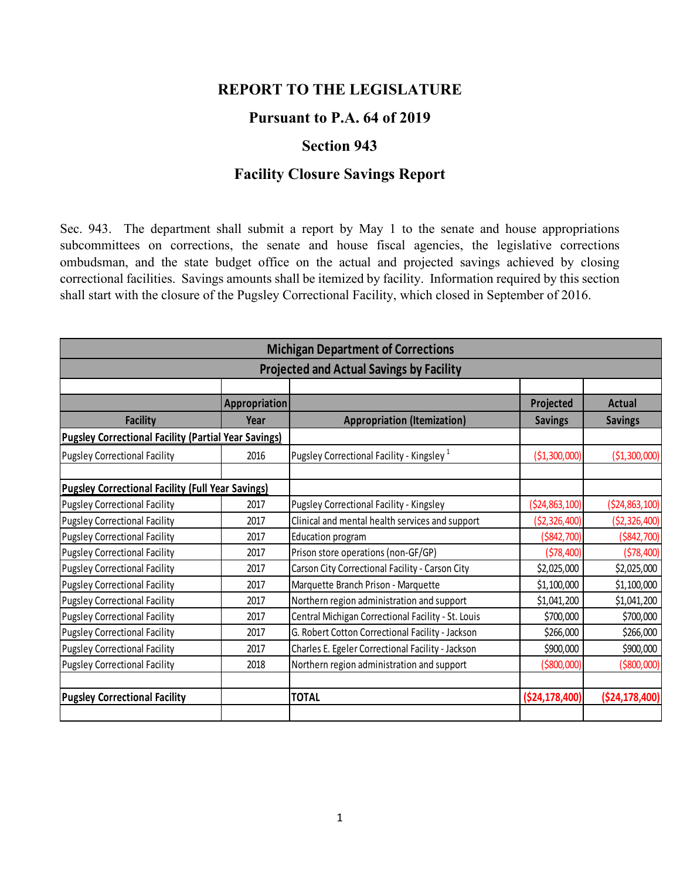## **REPORT TO THE LEGISLATURE**

## **Pursuant to P.A. 64 of 2019**

## **Section 943**

## **Facility Closure Savings Report**

Sec. 943. The department shall submit a report by May 1 to the senate and house appropriations subcommittees on corrections, the senate and house fiscal agencies, the legislative corrections ombudsman, and the state budget office on the actual and projected savings achieved by closing correctional facilities. Savings amounts shall be itemized by facility. Information required by this section shall start with the closure of the Pugsley Correctional Facility, which closed in September of 2016.

|                                                             | <b>Michigan Department of Corrections</b><br><b>Projected and Actual Savings by Facility</b><br>Appropriation<br>Projected<br><b>Actual</b><br><b>Appropriation (Itemization)</b><br><b>Savings</b><br>Year<br><b>Savings</b><br>Pugsley Correctional Facility - Kingsley <sup>1</sup><br>2016<br>( \$1,300,000)<br>( \$1,300,000]<br>Pugsley Correctional Facility - Kingsley<br>( \$24, 863, 100)<br>( \$24, 863, 100)<br>2017<br>Clinical and mental health services and support<br>(52, 326, 400)<br>( \$2,326,400)<br>2017<br>Education program<br>( \$842, 700)<br>( \$842, 700)<br>2017<br>(578, 400)<br>(578, 400)<br>2017<br>Prison store operations (non-GF/GP) |                                                    |                 |                    |
|-------------------------------------------------------------|---------------------------------------------------------------------------------------------------------------------------------------------------------------------------------------------------------------------------------------------------------------------------------------------------------------------------------------------------------------------------------------------------------------------------------------------------------------------------------------------------------------------------------------------------------------------------------------------------------------------------------------------------------------------------|----------------------------------------------------|-----------------|--------------------|
|                                                             |                                                                                                                                                                                                                                                                                                                                                                                                                                                                                                                                                                                                                                                                           |                                                    |                 |                    |
|                                                             |                                                                                                                                                                                                                                                                                                                                                                                                                                                                                                                                                                                                                                                                           |                                                    |                 |                    |
|                                                             |                                                                                                                                                                                                                                                                                                                                                                                                                                                                                                                                                                                                                                                                           |                                                    |                 |                    |
| <b>Facility</b>                                             |                                                                                                                                                                                                                                                                                                                                                                                                                                                                                                                                                                                                                                                                           |                                                    |                 |                    |
| <b>Pugsley Correctional Facility (Partial Year Savings)</b> |                                                                                                                                                                                                                                                                                                                                                                                                                                                                                                                                                                                                                                                                           |                                                    |                 |                    |
| <b>Pugsley Correctional Facility</b>                        |                                                                                                                                                                                                                                                                                                                                                                                                                                                                                                                                                                                                                                                                           |                                                    |                 |                    |
|                                                             |                                                                                                                                                                                                                                                                                                                                                                                                                                                                                                                                                                                                                                                                           |                                                    |                 |                    |
| <b>Pugsley Correctional Facility (Full Year Savings)</b>    |                                                                                                                                                                                                                                                                                                                                                                                                                                                                                                                                                                                                                                                                           |                                                    |                 |                    |
| <b>Pugsley Correctional Facility</b>                        |                                                                                                                                                                                                                                                                                                                                                                                                                                                                                                                                                                                                                                                                           |                                                    |                 |                    |
| <b>Pugsley Correctional Facility</b>                        |                                                                                                                                                                                                                                                                                                                                                                                                                                                                                                                                                                                                                                                                           |                                                    |                 |                    |
| <b>Pugsley Correctional Facility</b>                        |                                                                                                                                                                                                                                                                                                                                                                                                                                                                                                                                                                                                                                                                           |                                                    |                 |                    |
| <b>Pugsley Correctional Facility</b>                        |                                                                                                                                                                                                                                                                                                                                                                                                                                                                                                                                                                                                                                                                           |                                                    |                 |                    |
| <b>Pugsley Correctional Facility</b>                        | 2017                                                                                                                                                                                                                                                                                                                                                                                                                                                                                                                                                                                                                                                                      | Carson City Correctional Facility - Carson City    | \$2,025,000     | \$2,025,000        |
| <b>Pugsley Correctional Facility</b>                        | 2017                                                                                                                                                                                                                                                                                                                                                                                                                                                                                                                                                                                                                                                                      | Marquette Branch Prison - Marquette                | \$1,100,000     | \$1,100,000        |
| <b>Pugsley Correctional Facility</b>                        | 2017                                                                                                                                                                                                                                                                                                                                                                                                                                                                                                                                                                                                                                                                      | Northern region administration and support         | \$1,041,200     | \$1,041,200        |
| <b>Pugsley Correctional Facility</b>                        | 2017                                                                                                                                                                                                                                                                                                                                                                                                                                                                                                                                                                                                                                                                      | Central Michigan Correctional Facility - St. Louis | \$700,000       | \$700,000          |
| <b>Pugsley Correctional Facility</b>                        | 2017                                                                                                                                                                                                                                                                                                                                                                                                                                                                                                                                                                                                                                                                      | G. Robert Cotton Correctional Facility - Jackson   | \$266,000       | \$266,000          |
| <b>Pugsley Correctional Facility</b>                        | 2017                                                                                                                                                                                                                                                                                                                                                                                                                                                                                                                                                                                                                                                                      | Charles E. Egeler Correctional Facility - Jackson  | \$900,000       | \$900,000          |
| <b>Pugsley Correctional Facility</b>                        | 2018                                                                                                                                                                                                                                                                                                                                                                                                                                                                                                                                                                                                                                                                      | Northern region administration and support         | ( \$800,000)    | ( \$800,000)       |
| <b>Pugsley Correctional Facility</b>                        |                                                                                                                                                                                                                                                                                                                                                                                                                                                                                                                                                                                                                                                                           | <b>TOTAL</b>                                       | ( \$24,178,400] | ( \$24, 178, 400 ] |
|                                                             |                                                                                                                                                                                                                                                                                                                                                                                                                                                                                                                                                                                                                                                                           |                                                    |                 |                    |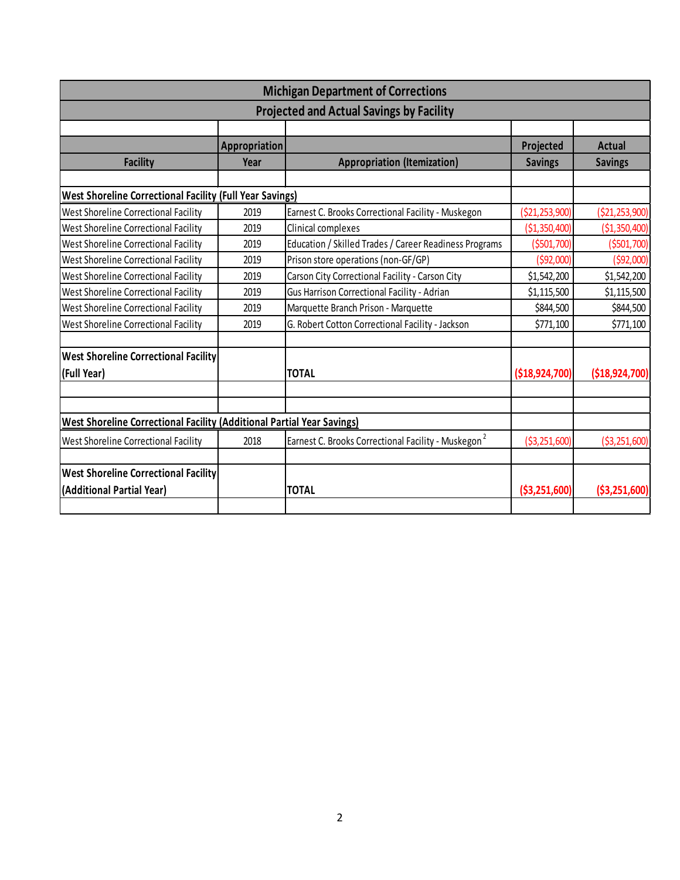| <b>Michigan Department of Corrections</b>                                     |               |                                                                 |                   |                   |  |  |  |
|-------------------------------------------------------------------------------|---------------|-----------------------------------------------------------------|-------------------|-------------------|--|--|--|
| <b>Projected and Actual Savings by Facility</b>                               |               |                                                                 |                   |                   |  |  |  |
|                                                                               |               |                                                                 |                   |                   |  |  |  |
|                                                                               | Appropriation |                                                                 | Projected         | Actual            |  |  |  |
| <b>Facility</b>                                                               | Year          | <b>Appropriation (Itemization)</b>                              | <b>Savings</b>    | <b>Savings</b>    |  |  |  |
|                                                                               |               |                                                                 |                   |                   |  |  |  |
| <b>West Shoreline Correctional Facility (Full Year Savings)</b>               |               |                                                                 |                   |                   |  |  |  |
| West Shoreline Correctional Facility                                          | 2019          | Earnest C. Brooks Correctional Facility - Muskegon              | (\$21,253,900)    | ( \$21, 253, 900) |  |  |  |
| West Shoreline Correctional Facility                                          | 2019          | Clinical complexes                                              | ( \$1,350,400)    | ( \$1,350,400)    |  |  |  |
| West Shoreline Correctional Facility                                          | 2019          | Education / Skilled Trades / Career Readiness Programs          | ( \$501, 700)     | ( \$501, 700)     |  |  |  |
| West Shoreline Correctional Facility                                          | 2019          | Prison store operations (non-GF/GP)                             | (592,000)         | (592,000)         |  |  |  |
| West Shoreline Correctional Facility                                          | 2019          | Carson City Correctional Facility - Carson City                 | \$1,542,200       | \$1,542,200       |  |  |  |
| West Shoreline Correctional Facility                                          | 2019          | Gus Harrison Correctional Facility - Adrian                     | \$1,115,500       | \$1,115,500       |  |  |  |
| West Shoreline Correctional Facility                                          | 2019          | Marquette Branch Prison - Marquette                             | \$844,500         | \$844,500         |  |  |  |
| West Shoreline Correctional Facility                                          | 2019          | G. Robert Cotton Correctional Facility - Jackson                | \$771,100         | \$771,100         |  |  |  |
| <b>West Shoreline Correctional Facility</b>                                   |               |                                                                 |                   |                   |  |  |  |
| (Full Year)                                                                   |               | <b>TOTAL</b>                                                    | ( \$18, 924, 700) | (\$18,924,700)    |  |  |  |
|                                                                               |               |                                                                 |                   |                   |  |  |  |
| <b>West Shoreline Correctional Facility (Additional Partial Year Savings)</b> |               |                                                                 |                   |                   |  |  |  |
| West Shoreline Correctional Facility                                          | 2018          | Earnest C. Brooks Correctional Facility - Muskegon <sup>2</sup> | ( \$3, 251, 600)  | ( \$3,251,600)    |  |  |  |
| <b>West Shoreline Correctional Facility</b>                                   |               |                                                                 |                   |                   |  |  |  |
| (Additional Partial Year)                                                     |               | <b>TOTAL</b>                                                    | ( \$3,251,600)    | ( \$3,251,600)    |  |  |  |